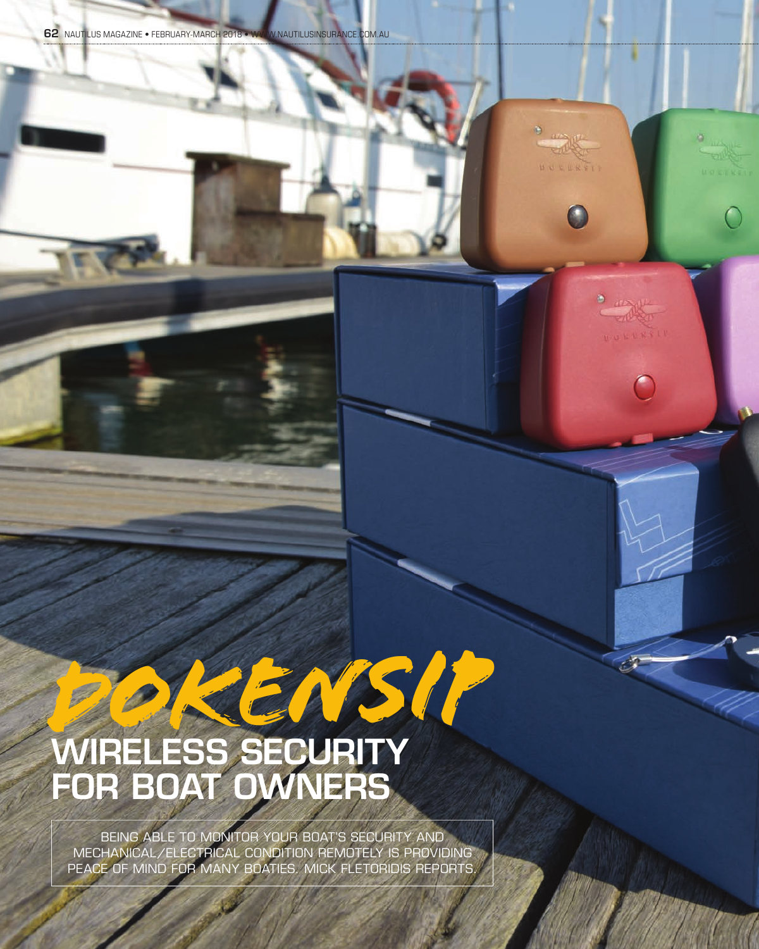**DULLERSTP** 

 $\bullet$   $\mu_{\text{N}}\mu$ POST HULLERSI

# *DOKENSIP* WIRELESS SECURITY FOR BOAT OWNERS

BEING ABLE TO MONITOR YOUR BOAT'S SECURITY AND MECHANICAL/ELECTRICAL CONDITION REMOTELY IS PROVIDING PEACE OF MIND FOR MANY BOATIES. MICK FLETORIDIS REPORTS.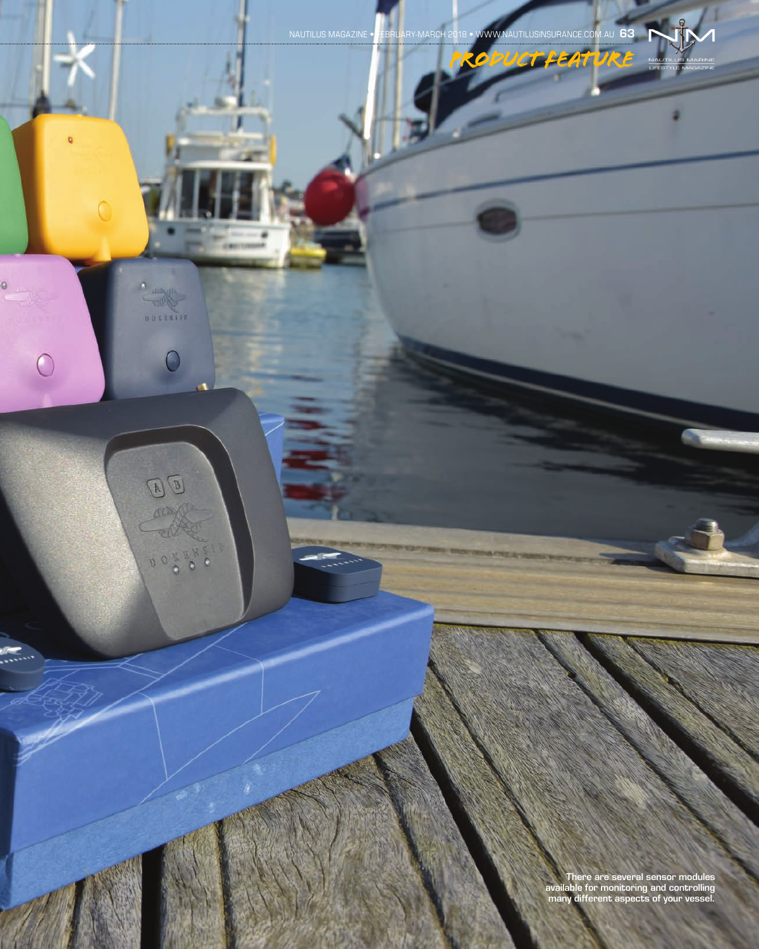There are several sensor modules available for monitoring and controlling many different aspects of your vessel.

NAUTILUS MAGAZINE • FEBRUARY-MARCH 2018 • WWW.NAUTILUSINSURANCE.COM.AU 63

ö

ö

∩

 $\overline{C}$ 

 $D$ 

**ALE TV** 

00  $\frac{1}{2}$  o<sup>u</sup>x  $\ddot{\circ}$ 

 $\mathbf{A}$ 

*PRODUCT FEATURE*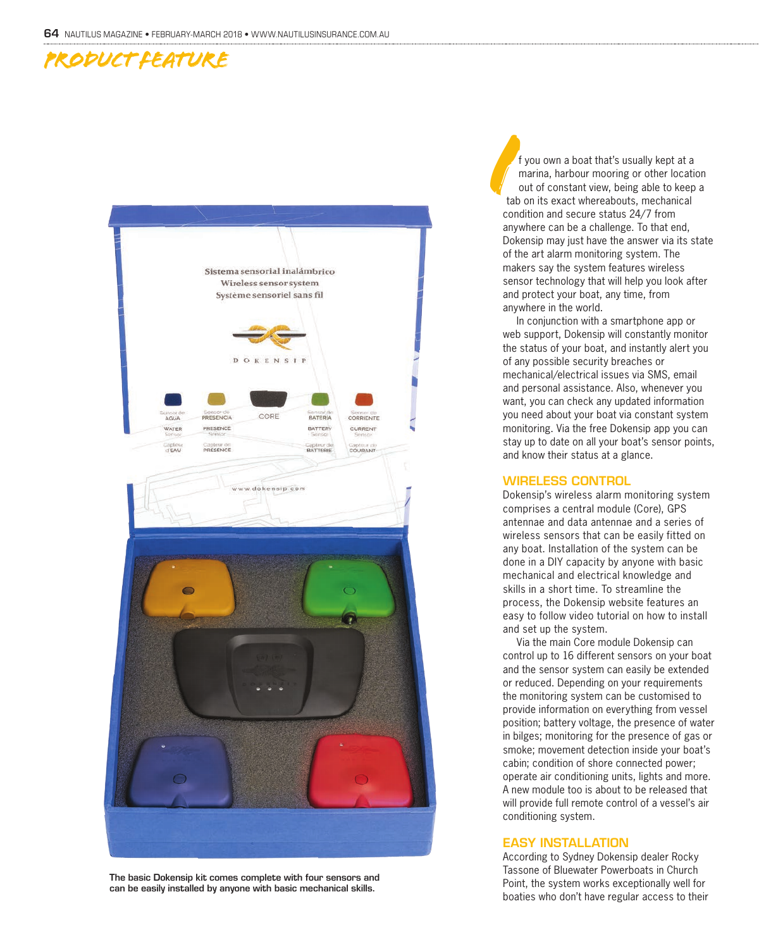### *PRODUCT FEATURE*



The basic Dokensip kit comes complete with four sensors and can be easily installed by anyone with basic mechanical skills.

f you own a boat that's usually kept at a marina, harbour mooring or other location out of constant view, being able to keep a tab on its exact whereabouts, mechanical condition and secure status 24/7 from anywhere can be a challenge. To that end, Dokensip may just have the answer via its state of the art alarm monitoring system. The makers say the system features wireless sensor technology that will help you look after and protect your boat, any time, from anywhere in the world. **I** 

In conjunction with a smartphone app or web support, Dokensip will constantly monitor the status of your boat, and instantly alert you of any possible security breaches or mechanical/electrical issues via SMS, email and personal assistance. Also, whenever you want, you can check any updated information you need about your boat via constant system monitoring. Via the free Dokensip app you can stay up to date on all your boat's sensor points, and know their status at a glance.

#### WIRELESS CONTROL

Dokensip's wireless alarm monitoring system comprises a central module (Core), GPS antennae and data antennae and a series of wireless sensors that can be easily fitted on any boat. Installation of the system can be done in a DIY capacity by anyone with basic mechanical and electrical knowledge and skills in a short time. To streamline the process, the Dokensip website features an easy to follow video tutorial on how to install and set up the system.

Via the main Core module Dokensip can control up to 16 different sensors on your boat and the sensor system can easily be extended or reduced. Depending on your requirements the monitoring system can be customised to provide information on everything from vessel position; battery voltage, the presence of water in bilges; monitoring for the presence of gas or smoke; movement detection inside your boat's cabin; condition of shore connected power; operate air conditioning units, lights and more. A new module too is about to be released that will provide full remote control of a vessel's air conditioning system.

#### EASY INSTALLATION

According to Sydney Dokensip dealer Rocky Tassone of Bluewater Powerboats in Church Point, the system works exceptionally well for boaties who don't have regular access to their